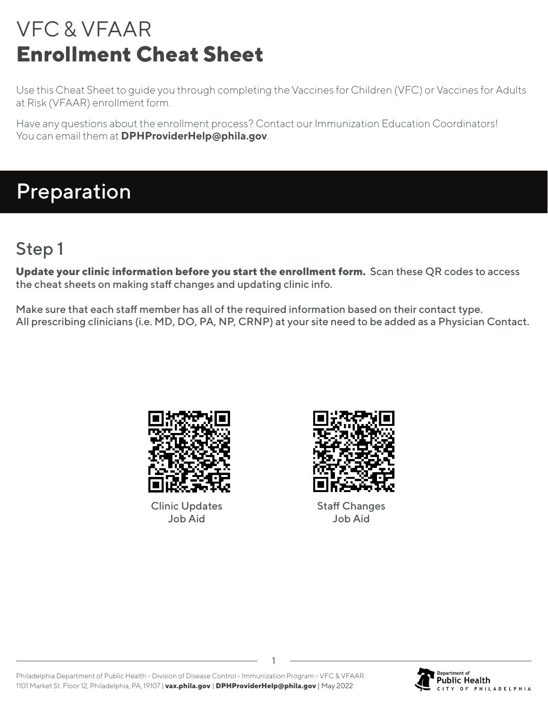Use this Cheat Sheet to guide you through completing the Vaccines for Children (VFC) or Vaccines for Adults at Risk (VFAAR) enrollment form.

Have any questions about the enrollment process? Contact our Immunization Education Coordinators! You can email them at **DPHProviderHelp@phila.gov**.

## Preparation

### Step 1

**Update your clinic information before you start the enrollment form.** Scan these QR codes to access the cheat sheets on making staff changes and updating clinic info.

Make sure that each staff member has all of the required information based on their contact type. All prescribing clinicians (i.e. MD, DO, PA, NP, CRNP) at your site need to be added as a Physician Contact.



Clinic Updates Job Aid



Staff Changes Job Aid

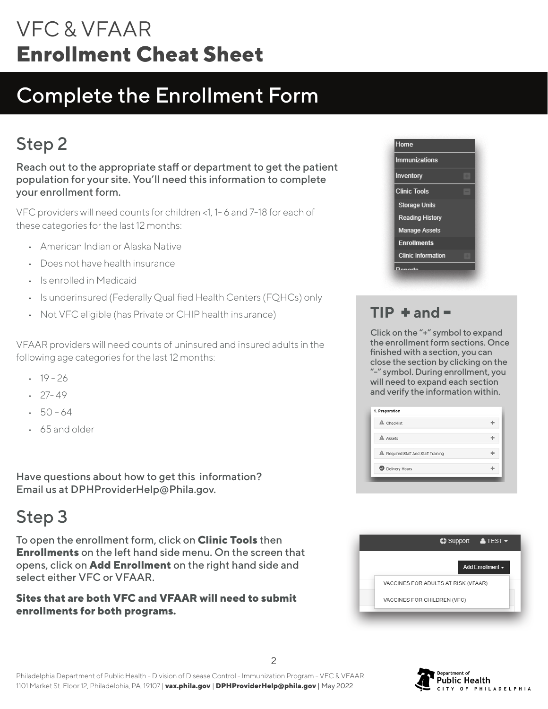# Complete the Enrollment Form

## Step 2

Reach out to the appropriate staff or department to get the patient population for your site. You'll need this information to complete your enrollment form.

VFC providers will need counts for children <1, 1- 6 and 7-18 for each of these categories for the last 12 months:

- American Indian or Alaska Native
- Does not have health insurance
- Is enrolled in Medicaid
- Is underinsured (Federally Qualified Health Centers (FQHCs) only
- Not VFC eligible (has Private or CHIP health insurance)

VFAAR providers will need counts of uninsured and insured adults in the following age categories for the last 12 months:

- $-19 26$
- $-27-49$
- $-50 64$
- 65 and older

Have questions about how to get this information? Email us at DPHProviderHelp@Phila.gov.

### Step 3

To open the enrollment form, click on **Clinic Tools** then **Enrollments** on the left hand side menu. On the screen that opens, click on **Add Enrollment** on the right hand side and select either VFC or VFAAR.

#### **Sites that are both VFC and VFAAR will need to submit enrollments for both programs.**



### $TIP + and -$

Click on the "+" symbol to expand the enrollment form sections. Once finished with a section, you can close the section by clicking on the "-" symbol. During enrollment, you will need to expand each section and verify the information within.

| A Checklist                         |  |
|-------------------------------------|--|
| A Assets                            |  |
| A Required Staff And Staff Training |  |
| <b>O</b> Delivery Hours             |  |



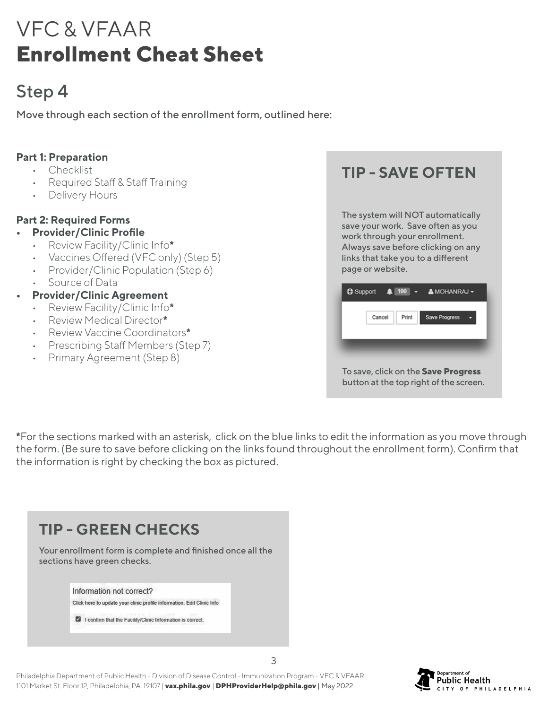### Step 4

Move through each section of the enrollment form, outlined here:

#### **Part 1: Preparation**

- Checklist
- Required Staff & Staff Training
- Delivery Hours

#### **Part 2: Required Forms**

- **• Provider/Clinic Profile**
	- Review Facility/Clinic Info**\***
	- Vaccines Offered (VFC only) (Step 5)
	- Provider/Clinic Population (Step 6)
	- Source of Data

#### **• Provider/Clinic Agreement**

- Review Facility/Clinic Info**\***
- Review Medical Director**\***
- Review Vaccine Coordinators**\***
- Prescribing Staff Members (Step 7)
- Primary Agreement (Step 8)

**TIP - SAVE OFTEN**

The system will NOT automatically save your work. Save often as you work through your enrollment. Always save before clicking on any links that take you to a different page or website.

| Cancel | Print | <b>Save Progress</b> |  |
|--------|-------|----------------------|--|
|        |       |                      |  |
|        |       |                      |  |
|        |       |                      |  |
|        |       |                      |  |

**\***For the sections marked with an asterisk, click on the blue links to edit the information as you move through the form. (Be sure to save before clicking on the links found throughout the enrollment form). Confirm that the information is right by checking the box as pictured.

| <b>TIP - GREEN CHECKS</b>                                                                                                                                        |
|------------------------------------------------------------------------------------------------------------------------------------------------------------------|
| Your enrollment form is complete and finished once all the<br>sections have green checks.                                                                        |
| Information not correct?<br>Click here to update your clinic profile information. Edit Clinic Info<br>I confirm that the Facility/Clinic Information is correct. |
|                                                                                                                                                                  |



Philadelphia Department of Public Health - Division of Disease Control - Immunization Program - VFC & VFAAR 1101 Market St. Floor 12, Philadelphia, PA, 19107 | **vax.phila.gov** | **DPHProviderHelp@phila.gov** | May 2022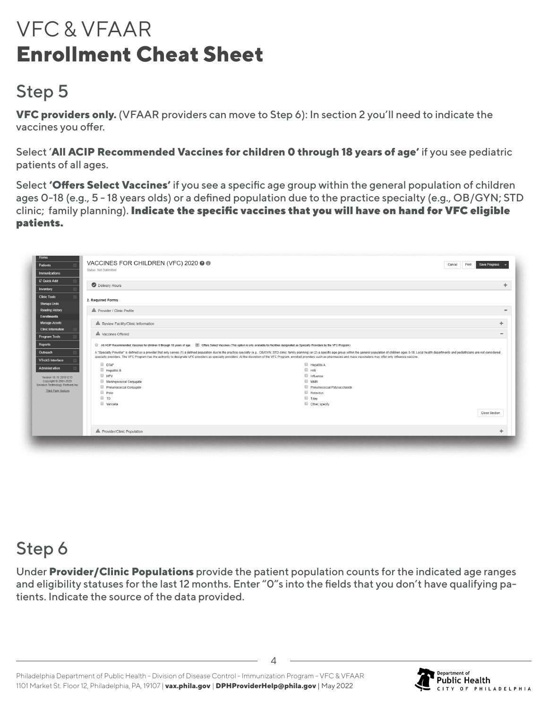## Step 5

**VFC providers only.** (VFAAR providers can move to Step 6): In section 2 you'll need to indicate the vaccines you offer.

Select '**All ACIP Recommended Vaccines for children 0 through 18 years of age'** if you see pediatric patients of all ages.

Select **'Offers Select Vaccines'** if you see a specific age group within the general population of children ages 0-18 (e.g., 5 - 18 years olds) or a defined population due to the practice specialty (e.g., OB/GYN; STD clinic; family planning). Indicate the specific vaccines that you will have on hand for VFC eligible patients.

| Patients                                                                                                                                                     | VACCINES FOR CHILDREN (VFC) 2020 @ 1 |                                                                                                                                                                                                                                                                                                                                                                                                                                                                 | Print<br>Cancel<br>Save Progress |
|--------------------------------------------------------------------------------------------------------------------------------------------------------------|--------------------------------------|-----------------------------------------------------------------------------------------------------------------------------------------------------------------------------------------------------------------------------------------------------------------------------------------------------------------------------------------------------------------------------------------------------------------------------------------------------------------|----------------------------------|
| Immunizations                                                                                                                                                | Status: Not Submitted                |                                                                                                                                                                                                                                                                                                                                                                                                                                                                 |                                  |
|                                                                                                                                                              |                                      |                                                                                                                                                                                                                                                                                                                                                                                                                                                                 |                                  |
| <b>IZ Quick Add</b>                                                                                                                                          | Delivery Hours                       |                                                                                                                                                                                                                                                                                                                                                                                                                                                                 |                                  |
| Inventory                                                                                                                                                    |                                      |                                                                                                                                                                                                                                                                                                                                                                                                                                                                 |                                  |
| <b>Clinic Tools</b>                                                                                                                                          | 2. Required Forms                    |                                                                                                                                                                                                                                                                                                                                                                                                                                                                 |                                  |
| <b>Storage Units</b>                                                                                                                                         |                                      |                                                                                                                                                                                                                                                                                                                                                                                                                                                                 |                                  |
| <b>Reading History</b>                                                                                                                                       | A Provider / Clinic Profile          |                                                                                                                                                                                                                                                                                                                                                                                                                                                                 |                                  |
| <b>Enrollments</b>                                                                                                                                           |                                      |                                                                                                                                                                                                                                                                                                                                                                                                                                                                 |                                  |
| Manage Assets                                                                                                                                                | A Review Facility/Clinic Information |                                                                                                                                                                                                                                                                                                                                                                                                                                                                 |                                  |
| <b>Clinic Information</b>                                                                                                                                    |                                      |                                                                                                                                                                                                                                                                                                                                                                                                                                                                 |                                  |
| Program Tools                                                                                                                                                | A Vaccines Offered                   |                                                                                                                                                                                                                                                                                                                                                                                                                                                                 |                                  |
|                                                                                                                                                              |                                      |                                                                                                                                                                                                                                                                                                                                                                                                                                                                 |                                  |
|                                                                                                                                                              |                                      |                                                                                                                                                                                                                                                                                                                                                                                                                                                                 |                                  |
|                                                                                                                                                              |                                      | All ACIP Recommended Vaccines for children 0 through 18 years of age. (8) Offers Select Vaccines (This option is only available for facilities designated as Specialty Providers by the VFC Program)                                                                                                                                                                                                                                                            |                                  |
|                                                                                                                                                              |                                      | A "Specialty Provider" is defined as a provider that only serves (1) a defined population due to the practice specialty (e.g., OB/GYN; STD clinic; family planning) or (2) a specific age group within the general population<br>specialty providers. The VFC Program has the authority to designate VFC providers as specialty providers. At the discretion of the VFC Program, enrolled providers such as pharmacies and mass vaccinators may offer only infl |                                  |
|                                                                                                                                                              |                                      |                                                                                                                                                                                                                                                                                                                                                                                                                                                                 |                                  |
|                                                                                                                                                              | $D$ $D$ TaP<br>Hepatitis B           | Hepatitis A<br>$\Box$ HIB                                                                                                                                                                                                                                                                                                                                                                                                                                       |                                  |
|                                                                                                                                                              | $P = HPV$                            | Influenza                                                                                                                                                                                                                                                                                                                                                                                                                                                       |                                  |
| Version 19.10.20191213                                                                                                                                       | Meningococcal Conjugate              | <b>MMR</b>                                                                                                                                                                                                                                                                                                                                                                                                                                                      |                                  |
|                                                                                                                                                              | Pneumococcal Conjugate               | Pneumococcal Polysaccharide                                                                                                                                                                                                                                                                                                                                                                                                                                     |                                  |
| Reports<br>Outreach<br><b>VTrckS</b> Interface<br><b>Administration</b><br>Copyright @ 2001-2020<br>Envision Technology Partners Inc.<br>Third Party Notices | Polio                                | Rotavirus                                                                                                                                                                                                                                                                                                                                                                                                                                                       |                                  |
|                                                                                                                                                              | T <sub>D</sub>                       | Tdap                                                                                                                                                                                                                                                                                                                                                                                                                                                            |                                  |
|                                                                                                                                                              | Varicella                            | Other, specify                                                                                                                                                                                                                                                                                                                                                                                                                                                  |                                  |
|                                                                                                                                                              |                                      |                                                                                                                                                                                                                                                                                                                                                                                                                                                                 | Close Section                    |
|                                                                                                                                                              |                                      |                                                                                                                                                                                                                                                                                                                                                                                                                                                                 |                                  |
|                                                                                                                                                              |                                      |                                                                                                                                                                                                                                                                                                                                                                                                                                                                 |                                  |

### Step 6

Under **Provider/Clinic Populations** provide the patient population counts for the indicated age ranges and eligibility statuses for the last 12 months. Enter "0"s into the fields that you don't have qualifying patients. Indicate the source of the data provided.